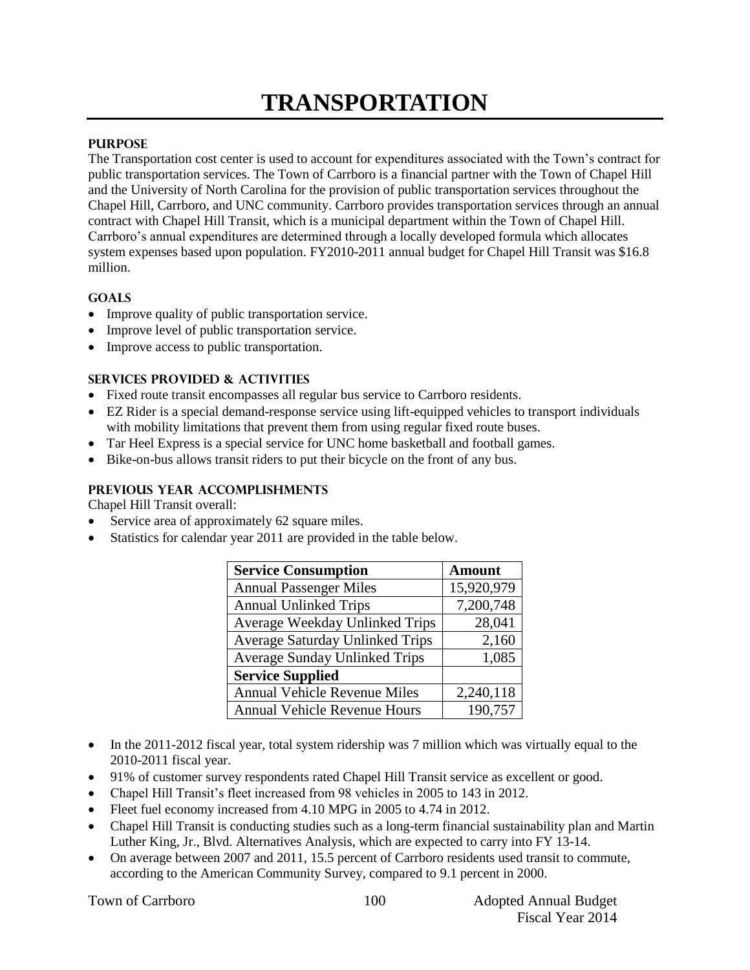# **TRANSPORTATION**

#### **PURPOSE**

The Transportation cost center is used to account for expenditures associated with the Town's contract for public transportation services. The Town of Carrboro is a financial partner with the Town of Chapel Hill and the University of North Carolina for the provision of public transportation services throughout the Chapel Hill, Carrboro, and UNC community. Carrboro provides transportation services through an annual contract with Chapel Hill Transit, which is a municipal department within the Town of Chapel Hill. Carrboro's annual expenditures are determined through a locally developed formula which allocates system expenses based upon population. FY2010-2011 annual budget for Chapel Hill Transit was \$16.8 million.

#### **GOALS**

- Improve quality of public transportation service.
- Improve level of public transportation service.
- Improve access to public transportation.

#### **SERVICES PROVIDED & ACTIVITIES**

- Fixed route transit encompasses all regular bus service to Carrboro residents.
- EZ Rider is a special demand-response service using lift-equipped vehicles to transport individuals with mobility limitations that prevent them from using regular fixed route buses.
- Tar Heel Express is a special service for UNC home basketball and football games.
- Bike-on-bus allows transit riders to put their bicycle on the front of any bus.

#### **PREVIOUS YEAR ACCOMPLISHMENTS**

Chapel Hill Transit overall:

- Service area of approximately 62 square miles.
- Statistics for calendar year 2011 are provided in the table below.

| <b>Service Consumption</b>             | <b>Amount</b> |  |
|----------------------------------------|---------------|--|
| <b>Annual Passenger Miles</b>          | 15,920,979    |  |
| <b>Annual Unlinked Trips</b>           | 7,200,748     |  |
| Average Weekday Unlinked Trips         | 28,041        |  |
| <b>Average Saturday Unlinked Trips</b> | 2,160         |  |
| <b>Average Sunday Unlinked Trips</b>   | 1,085         |  |
| <b>Service Supplied</b>                |               |  |
| <b>Annual Vehicle Revenue Miles</b>    | 2,240,118     |  |
| <b>Annual Vehicle Revenue Hours</b>    | 190,757       |  |

- In the 2011-2012 fiscal year, total system ridership was 7 million which was virtually equal to the 2010-2011 fiscal year.
- 91% of customer survey respondents rated Chapel Hill Transit service as excellent or good.
- Chapel Hill Transit's fleet increased from 98 vehicles in 2005 to 143 in 2012.
- Fleet fuel economy increased from 4.10 MPG in 2005 to 4.74 in 2012.
- Chapel Hill Transit is conducting studies such as a long-term financial sustainability plan and Martin Luther King, Jr., Blvd. Alternatives Analysis, which are expected to carry into FY 13-14.
- On average between 2007 and 2011, 15.5 percent of Carrboro residents used transit to commute, according to the American Community Survey, compared to 9.1 percent in 2000.